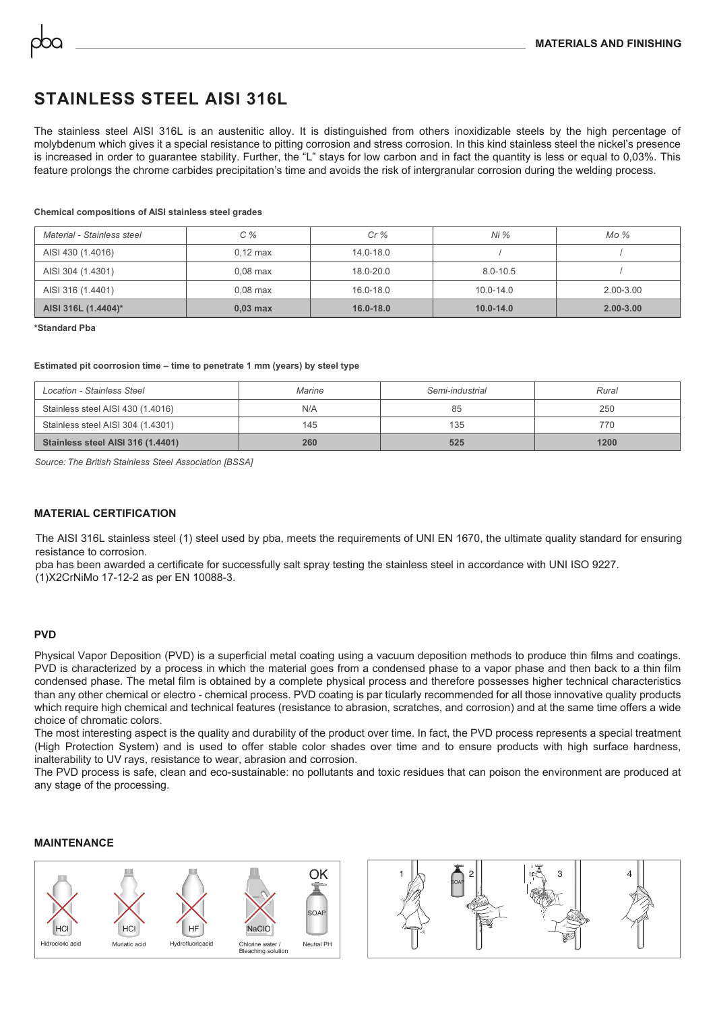# **STAINLESS STEEL AISI 316L**

The stainless steel AISI 316L is an austenitic alloy. It is distinguished from others inoxidizable steels by the high percentage of molybdenum which gives it a special resistance to pitting corrosion and stress corrosion. In this kind stainless steel the nickel's presence is increased in order to guarantee stability. Further, the "L" stays for low carbon and in fact the quantity is less or equal to 0,03%. This feature prolongs the chrome carbides precipitation's time and avoids the risk of intergranular corrosion during the welding process.

**Chemical compositions of AISI stainless steel grades**

| Material - Stainless steel | $C\%$              | Cr%           | Ni %          | $Mo\%$        |
|----------------------------|--------------------|---------------|---------------|---------------|
| AISI 430 (1.4016)          | $0.12 \text{ max}$ | $14.0 - 18.0$ |               |               |
| AISI 304 (1.4301)          | $0.08$ max         | $18.0 - 20.0$ | $8.0 - 10.5$  |               |
| AISI 316 (1.4401)          | $0.08$ max         | $16.0 - 18.0$ | $10.0 - 14.0$ | $2.00 - 3.00$ |
| AISI 316L (1.4404)*        | $0,03$ max         | $16.0 - 18.0$ | $10.0 - 14.0$ | $2.00 - 3.00$ |

**\*Standard Pba**

#### **Estimated pit coorrosion time – time to penetrate 1 mm (years) by steel type**

| Location - Stainless Steel        | Marine | Semi-industrial | Rural |
|-----------------------------------|--------|-----------------|-------|
| Stainless steel AISI 430 (1.4016) | N/A    | 85              | 250   |
| Stainless steel AISI 304 (1.4301) | 145    | 135             | 770   |
| Stainless steel AISI 316 (1.4401) | 260    | 525             | 1200  |

*Source: The British Stainless Steel Association [BSSA]*

### **MATERIAL CERTIFICATION**

The AISI 316L stainless steel (1) steel used by pba, meets the requirements of UNI EN 1670, the ultimate quality standard for ensuring resistance to corrosion.

pba has been awarded a certificate for successfully salt spray testing the stainless steel in accordance with UNI ISO 9227. (1)X2CrNiMo 17-12-2 as per EN 10088-3.

#### **PVD**

Physical Vapor Deposition (PVD) is a superficial metal coating using a vacuum deposition methods to produce thin films and coatings. PVD is characterized by a process in which the material goes from a condensed phase to a vapor phase and then back to a thin film condensed phase. The metal film is obtained by a complete physical process and therefore possesses higher technical characteristics than any other chemical or electro - chemical process. PVD coating is par ticularly recommended for all those innovative quality products which require high chemical and technical features (resistance to abrasion, scratches, and corrosion) and at the same time offers a wide choice of chromatic colors.

The most interesting aspect is the quality and durability of the product over time. In fact, the PVD process represents a special treatment (High Protection System) and is used to offer stable color shades over time and to ensure products with high surface hardness, inalterability to UV rays, resistance to wear, abrasion and corrosion.

The PVD process is safe, clean and eco-sustainable: no pollutants and toxic residues that can poison the environment are produced at any stage of the processing.

#### **MAINTENANCE**